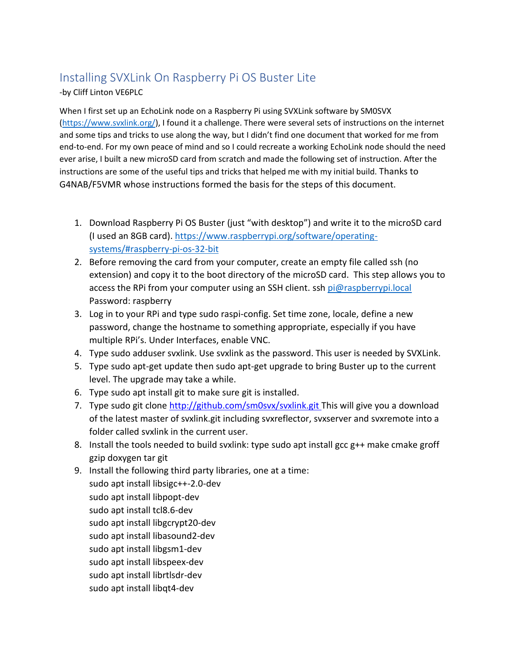# Installing SVXLink On Raspberry Pi OS Buster Lite

-by Cliff Linton VE6PLC

When I first set up an EchoLink node on a Raspberry Pi using SVXLink software by SM0SVX [\(https://www.svxlink.org/\)](https://www.svxlink.org/), I found it a challenge. There were several sets of instructions on the internet and some tips and tricks to use along the way, but I didn't find one document that worked for me from end-to-end. For my own peace of mind and so I could recreate a working EchoLink node should the need ever arise, I built a new microSD card from scratch and made the following set of instruction. After the instructions are some of the useful tips and tricks that helped me with my initial build. Thanks to G4NAB/F5VMR whose instructions formed the basis for the steps of this document.

- 1. Download Raspberry Pi OS Buster (just "with desktop") and write it to the microSD card (I used an 8GB card)[. https://www.raspberrypi.org/software/operating](https://www.raspberrypi.org/software/operating-systems/#raspberry-pi-os-32-bit)[systems/#raspberry-pi-os-32-bit](https://www.raspberrypi.org/software/operating-systems/#raspberry-pi-os-32-bit)
- 2. Before removing the card from your computer, create an empty file called ssh (no extension) and copy it to the boot directory of the microSD card. This step allows you to access the RPi from your computer using an SSH client. ssh [pi@raspberrypi.local](mailto:pi@raspberrypi.local) Password: raspberry
- 3. Log in to your RPi and type sudo raspi-config. Set time zone, locale, define a new password, change the hostname to something appropriate, especially if you have multiple RPi's. Under Interfaces, enable VNC.
- 4. Type sudo adduser svxlink. Use svxlink as the password. This user is needed by SVXLink.
- 5. Type sudo apt-get update then sudo apt-get upgrade to bring Buster up to the current level. The upgrade may take a while.
- 6. Type sudo apt install git to make sure git is installed.
- 7. Type sudo git clone [http://github.com/sm0svx/svxlink.git](https://github.com/sm0svx/svxlink.git) This will give you a download of the latest master of svxlink.git including svxreflector, svxserver and svxremote into a folder called svxlink in the current user.
- 8. Install the tools needed to build svxlink: type sudo apt install gcc g++ make cmake groff gzip doxygen tar git
- 9. Install the following third party libraries, one at a time:

sudo apt install libsigc++-2.0-dev sudo apt install libpopt-dev sudo apt install tcl8.6-dev sudo apt install libgcrypt20-dev sudo apt install libasound2-dev sudo apt install libgsm1-dev sudo apt install libspeex-dev sudo apt install librtlsdr-dev sudo apt install libqt4-dev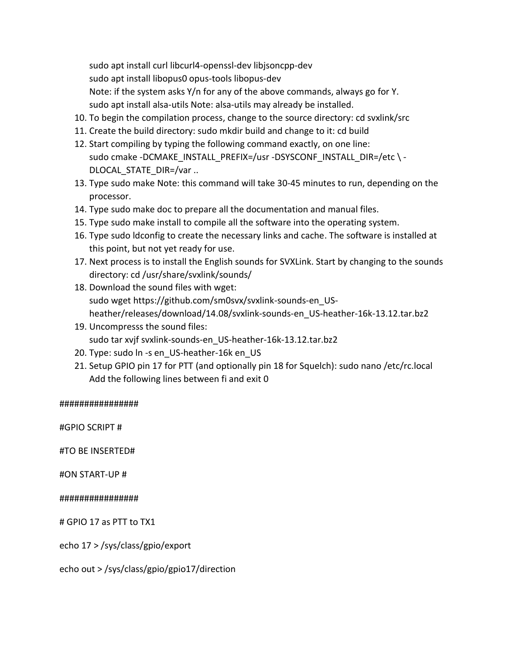sudo apt install curl libcurl4-openssl-dev libjsoncpp-dev sudo apt install libopus0 opus-tools libopus-dev Note: if the system asks Y/n for any of the above commands, always go for Y. sudo apt install alsa-utils Note: alsa-utils may already be installed.

- 10. To begin the compilation process, change to the source directory: cd svxlink/src
- 11. Create the build directory: sudo mkdir build and change to it: cd build
- 12. Start compiling by typing the following command exactly, on one line: sudo cmake -DCMAKE\_INSTALL\_PREFIX=/usr -DSYSCONF\_INSTALL\_DIR=/etc \ - DLOCAL STATE DIR=/var ..
- 13. Type sudo make Note: this command will take 30-45 minutes to run, depending on the processor.
- 14. Type sudo make doc to prepare all the documentation and manual files.
- 15. Type sudo make install to compile all the software into the operating system.
- 16. Type sudo ldconfig to create the necessary links and cache. The software is installed at this point, but not yet ready for use.
- 17. Next process is to install the English sounds for SVXLink. Start by changing to the sounds directory: cd /usr/share/svxlink/sounds/
- 18. Download the sound files with wget: sudo wget https://github.com/sm0svx/svxlink-sounds-en\_USheather/releases/download/14.08/svxlink-sounds-en\_US-heather-16k-13.12.tar.bz2
- 19. Uncompresss the sound files: sudo tar xvjf svxlink-sounds-en\_US-heather-16k-13.12.tar.bz2
- 20. Type: sudo ln -s en\_US-heather-16k en\_US
- 21. Setup GPIO pin 17 for PTT (and optionally pin 18 for Squelch): sudo nano /etc/rc.local Add the following lines between fi and exit 0

#### ################

#GPIO SCRIPT #

#TO BE INSERTED#

#ON START-UP #

#### ################

# GPIO 17 as PTT to TX1

echo 17 > /sys/class/gpio/export

echo out > /sys/class/gpio/gpio17/direction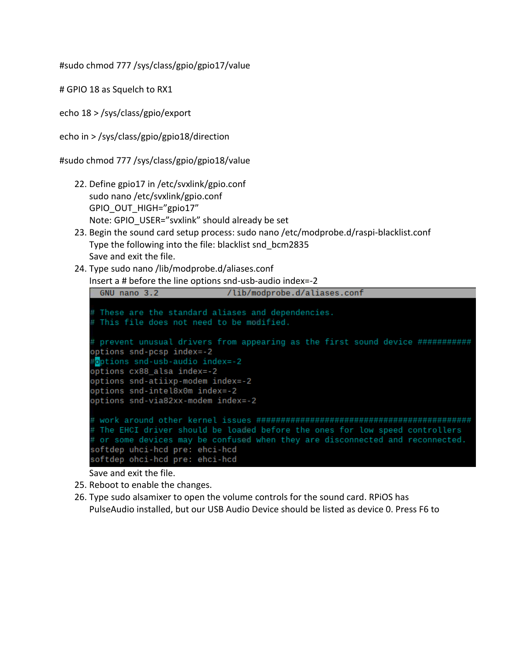#sudo chmod 777 /sys/class/gpio/gpio17/value

# GPIO 18 as Squelch to RX1

echo 18 > /sys/class/gpio/export

echo in > /sys/class/gpio/gpio18/direction

#sudo chmod 777 /sys/class/gpio/gpio18/value

- 22. Define gpio17 in /etc/svxlink/gpio.conf sudo nano /etc/svxlink/gpio.conf GPIO\_OUT\_HIGH="gpio17" Note: GPIO USER="svxlink" should already be set
- 23. Begin the sound card setup process: sudo nano /etc/modprobe.d/raspi-blacklist.conf Type the following into the file: blacklist snd\_bcm2835 Save and exit the file.
- 24. Type sudo nano /lib/modprobe.d/aliases.conf Insert a # before the line options snd-usb-audio index=-2

```
/lib/modprobe.d/aliases.conf
 GNU nano 3.2
\frac{1}{2} These are the standard aliases and dependencies.
this file does not need to be modified.
# prevent unusual drivers from appearing as the first sound device ############
options snd-pcsp index=-2
options snd-usb-audio index=-2#
options cx88 alsa index=-2
options snd-atiixp-modem index=-2
options snd-intel8x0m index=-2
options snd-via82xx-modem index=-2
The EHCI driver should be loaded before the ones for low speed controllers
# or some devices may be confused when they are disconnected and reconnected.
softdep uhci-hcd pre: ehci-hcd
```
Save and exit the file.

25. Reboot to enable the changes.

softdep ohci-hcd pre: ehci-hcd

26. Type sudo alsamixer to open the volume controls for the sound card. RPiOS has PulseAudio installed, but our USB Audio Device should be listed as device 0. Press F6 to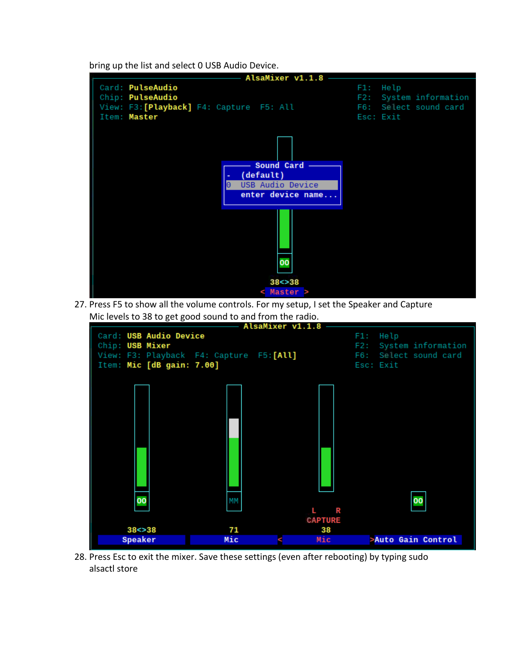bring up the list and select 0 USB Audio Device.



27. Press F5 to show all the volume controls. For my setup, I set the Speaker and Capture



28. Press Esc to exit the mixer. Save these settings (even after rebooting) by typing sudo alsactl store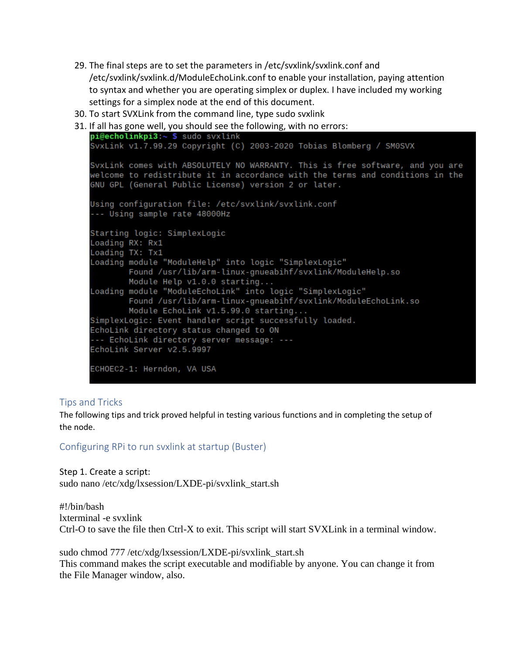- 29. The final steps are to set the parameters in /etc/svxlink/svxlink.conf and /etc/svxlink/svxlink.d/ModuleEchoLink.conf to enable your installation, paying attention to syntax and whether you are operating simplex or duplex. I have included my working settings for a simplex node at the end of this document.
- 30. To start SVXLink from the command line, type sudo svxlink
- 31. If all has gone well, you should see the following, with no errors:<br> $pi@echolinkpi3:-$  \$ sudo svxlink

```
SvxLink v1.7.99.29 Copyright (C) 2003-2020 Tobias Blomberg / SM0SVX
SvxLink comes with ABSOLUTELY NO WARRANTY. This is free software, and you are
welcome to redistribute it in accordance with the terms and conditions in the
GNU GPL (General Public License) version 2 or later.
Using configuration file: /etc/svxlink/svxlink.conf
--- Using sample rate 48000Hz
Starting logic: SimplexLogic
Loading RX: Rx1
Loading TX: Tx1
Loading module "ModuleHelp" into logic "SimplexLogic"
        Found /usr/lib/arm-linux-gnueabihf/svxlink/ModuleHelp.so
       Module Help v1.0.0 starting...
Loading module "ModuleEchoLink" into logic "SimplexLogic"
        Found /usr/lib/arm-linux-gnueabihf/svxlink/ModuleEchoLink.so
        Module EchoLink v1.5.99.0 starting...
SimplexLogic: Event handler script successfully loaded.
EchoLink directory status changed to ON
--- EchoLink directory server message: ---
EchoLink Server v2.5.9997
ECHOEC2-1: Herndon, VA USA
```
## Tips and Tricks

The following tips and trick proved helpful in testing various functions and in completing the setup of the node.

#### Configuring RPi to run svxlink at startup (Buster)

Step 1. Create a script: sudo nano /etc/xdg/lxsession/LXDE-pi/svxlink\_start.sh

#!/bin/bash lxterminal -e svxlink Ctrl-O to save the file then Ctrl-X to exit. This script will start SVXLink in a terminal window.

sudo chmod 777 /etc/xdg/lxsession/LXDE-pi/svxlink\_start.sh This command makes the script executable and modifiable by anyone. You can change it from the File Manager window, also.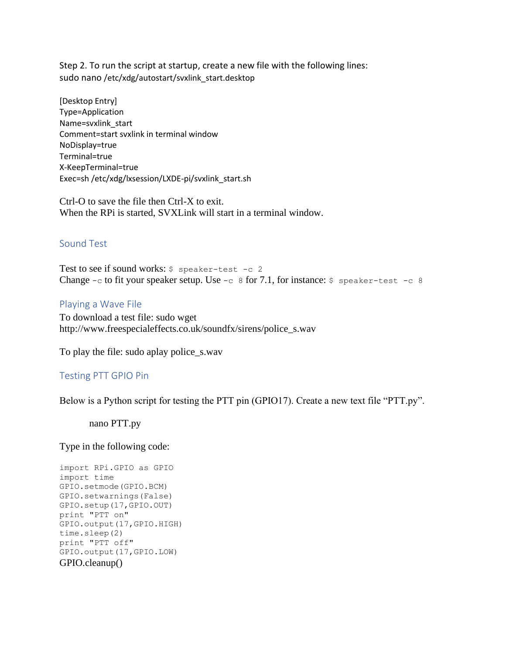Step 2. To run the script at startup, create a new file with the following lines: sudo nano /etc/xdg/autostart/svxlink\_start.desktop

[Desktop Entry] Type=Application Name=svxlink\_start Comment=start svxlink in terminal window NoDisplay=true Terminal=true X-KeepTerminal=true Exec=sh /etc/xdg/lxsession/LXDE-pi/svxlink\_start.sh

Ctrl-O to save the file then Ctrl-X to exit. When the RPi is started, SVXLink will start in a terminal window.

## Sound Test

Test to see if sound works:  $\frac{1}{2}$  speaker-test -c 2 Change  $-c$  to fit your speaker setup. Use  $-c$  8 for 7.1, for instance:  $\frac{1}{2}$  speaker-test  $-c$  8

#### Playing a Wave File

To download a test file: sudo wget http://www.freespecialeffects.co.uk/soundfx/sirens/police\_s.wav

To play the file: sudo aplay police\_s.wav

#### Testing PTT GPIO Pin

Below is a Python script for testing the PTT pin (GPIO17). Create a new text file "PTT.py".

nano PTT.py

Type in the following code:

```
import RPi.GPIO as GPIO
import time
GPIO.setmode(GPIO.BCM)
GPIO.setwarnings(False)
GPIO.setup(17,GPIO.OUT)
print "PTT on"
GPIO.output(17,GPIO.HIGH)
time.sleep(2)
print "PTT off"
GPIO.output(17,GPIO.LOW)
GPIO.cleanup()
```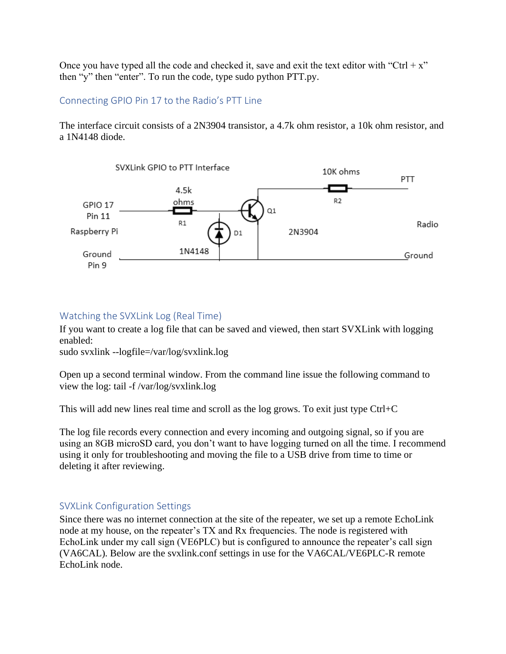Once you have typed all the code and checked it, save and exit the text editor with "Ctrl +  $x$ " then "y" then "enter". To run the code, type sudo python PTT.py.

# Connecting GPIO Pin 17 to the Radio's PTT Line

The interface circuit consists of a 2N3904 transistor, a 4.7k ohm resistor, a 10k ohm resistor, and a 1N4148 diode.



# Watching the SVXLink Log (Real Time)

If you want to create a log file that can be saved and viewed, then start SVXLink with logging enabled:

sudo svxlink --logfile=/var/log/svxlink.log

Open up a second terminal window. From the command line issue the following command to view the log: tail -f /var/log/svxlink.log

This will add new lines real time and scroll as the log grows. To exit just type Ctrl+C

The log file records every connection and every incoming and outgoing signal, so if you are using an 8GB microSD card, you don't want to have logging turned on all the time. I recommend using it only for troubleshooting and moving the file to a USB drive from time to time or deleting it after reviewing.

# SVXLink Configuration Settings

Since there was no internet connection at the site of the repeater, we set up a remote EchoLink node at my house, on the repeater's TX and Rx frequencies. The node is registered with EchoLink under my call sign (VE6PLC) but is configured to announce the repeater's call sign (VA6CAL). Below are the svxlink.conf settings in use for the VA6CAL/VE6PLC-R remote EchoLink node.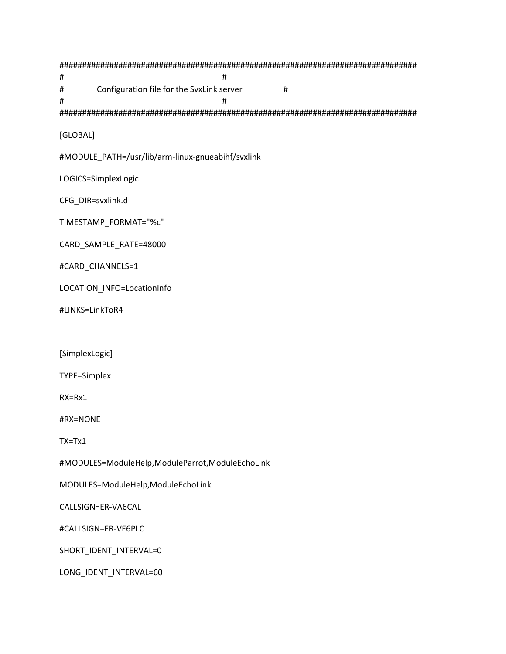###############################################################################  $\#$   $\#$ # Configuration file for the SvxLink server # # # ############################################################################### [GLOBAL] #MODULE\_PATH=/usr/lib/arm-linux-gnueabihf/svxlink LOGICS=SimplexLogic CFG\_DIR=svxlink.d TIMESTAMP\_FORMAT="%c" CARD\_SAMPLE\_RATE=48000 #CARD\_CHANNELS=1 LOCATION\_INFO=LocationInfo #LINKS=LinkToR4 [SimplexLogic] TYPE=Simplex RX=Rx1 #RX=NONE TX=Tx1 #MODULES=ModuleHelp,ModuleParrot,ModuleEchoLink MODULES=ModuleHelp,ModuleEchoLink CALLSIGN=ER-VA6CAL #CALLSIGN=ER-VE6PLC SHORT\_IDENT\_INTERVAL=0 LONG\_IDENT\_INTERVAL=60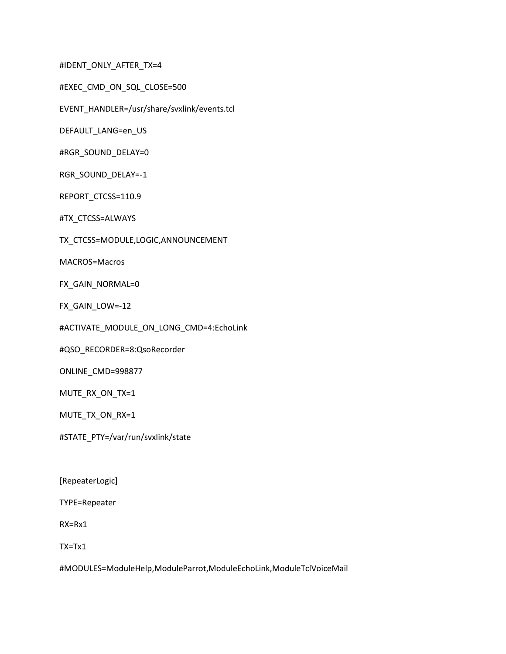#IDENT\_ONLY\_AFTER\_TX=4

#EXEC\_CMD\_ON\_SQL\_CLOSE=500

EVENT\_HANDLER=/usr/share/svxlink/events.tcl

DEFAULT\_LANG=en\_US

#RGR\_SOUND\_DELAY=0

RGR\_SOUND\_DELAY=-1

REPORT\_CTCSS=110.9

#TX\_CTCSS=ALWAYS

TX\_CTCSS=MODULE,LOGIC,ANNOUNCEMENT

MACROS=Macros

FX\_GAIN\_NORMAL=0

FX\_GAIN\_LOW=-12

#ACTIVATE\_MODULE\_ON\_LONG\_CMD=4:EchoLink

#QSO\_RECORDER=8:QsoRecorder

ONLINE\_CMD=998877

MUTE\_RX\_ON\_TX=1

MUTE\_TX\_ON\_RX=1

#STATE\_PTY=/var/run/svxlink/state

[RepeaterLogic]

TYPE=Repeater

RX=Rx1

TX=Tx1

#MODULES=ModuleHelp,ModuleParrot,ModuleEchoLink,ModuleTclVoiceMail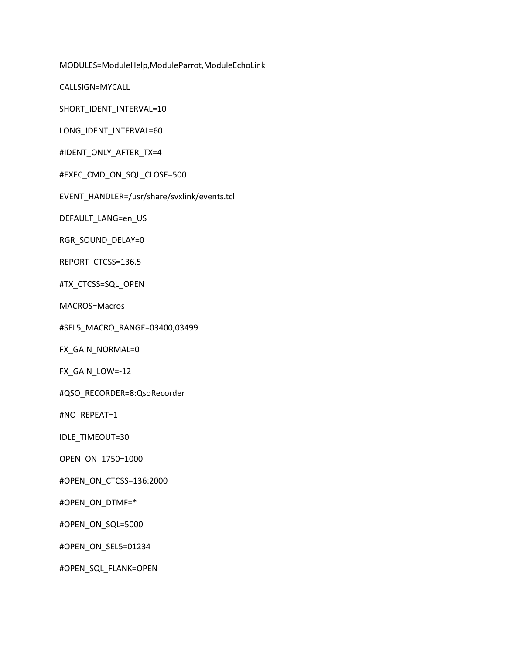MODULES=ModuleHelp,ModuleParrot,ModuleEchoLink

CALLSIGN=MYCALL

SHORT\_IDENT\_INTERVAL=10

LONG\_IDENT\_INTERVAL=60

#IDENT\_ONLY\_AFTER\_TX=4

#EXEC\_CMD\_ON\_SQL\_CLOSE=500

EVENT\_HANDLER=/usr/share/svxlink/events.tcl

DEFAULT\_LANG=en\_US

RGR\_SOUND\_DELAY=0

REPORT\_CTCSS=136.5

#TX\_CTCSS=SQL\_OPEN

MACROS=Macros

#SEL5\_MACRO\_RANGE=03400,03499

FX\_GAIN\_NORMAL=0

FX\_GAIN\_LOW=-12

#QSO\_RECORDER=8:QsoRecorder

#NO\_REPEAT=1

IDLE\_TIMEOUT=30

OPEN\_ON\_1750=1000

#OPEN\_ON\_CTCSS=136:2000

#OPEN\_ON\_DTMF=\*

#OPEN\_ON\_SQL=5000

#OPEN\_ON\_SEL5=01234

#OPEN\_SQL\_FLANK=OPEN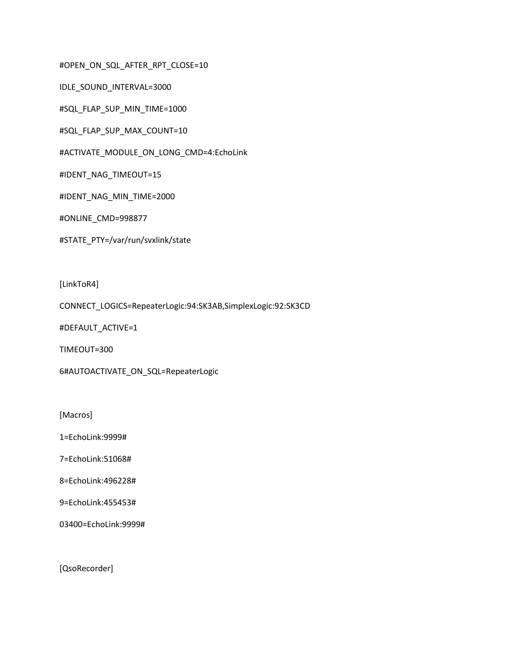#OPEN\_ON\_SQL\_AFTER\_RPT\_CLOSE=10

IDLE\_SOUND\_INTERVAL=3000

#SQL\_FLAP\_SUP\_MIN\_TIME=1000

#SQL\_FLAP\_SUP\_MAX\_COUNT=10

#ACTIVATE\_MODULE\_ON\_LONG\_CMD=4:EchoLink

#IDENT\_NAG\_TIMEOUT=15

#IDENT\_NAG\_MIN\_TIME=2000

#ONLINE\_CMD=998877

#STATE\_PTY=/var/run/svxlink/state

[LinkToR4]

CONNECT\_LOGICS=RepeaterLogic:94:SK3AB,SimplexLogic:92:SK3CD

#DEFAULT\_ACTIVE=1

TIMEOUT=300

6#AUTOACTIVATE\_ON\_SQL=RepeaterLogic

[Macros]

1=EchoLink:9999#

7=EchoLink:51068#

8=EchoLink:496228#

9=EchoLink:455453#

03400=EchoLink:9999#

[QsoRecorder]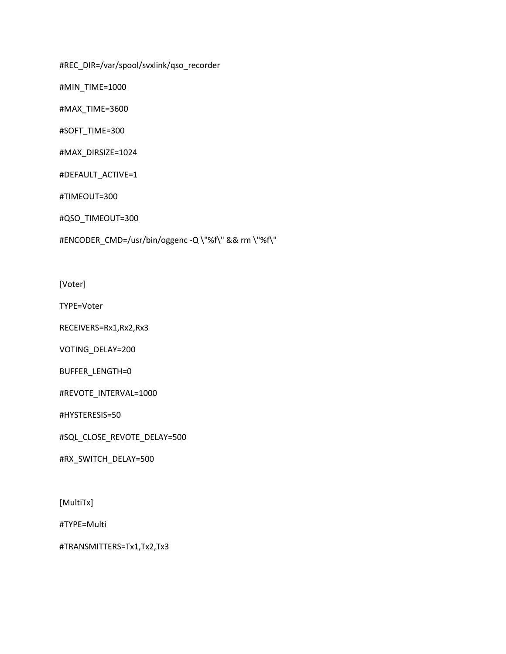#REC\_DIR=/var/spool/svxlink/qso\_recorder

#MIN\_TIME=1000

#MAX\_TIME=3600

#SOFT\_TIME=300

#MAX\_DIRSIZE=1024

#DEFAULT\_ACTIVE=1

#TIMEOUT=300

#QSO\_TIMEOUT=300

#ENCODER\_CMD=/usr/bin/oggenc -Q \"%f\" && rm \"%f\"

[Voter]

TYPE=Voter

RECEIVERS=Rx1,Rx2,Rx3

VOTING\_DELAY=200

BUFFER\_LENGTH=0

#REVOTE\_INTERVAL=1000

#HYSTERESIS=50

#SQL\_CLOSE\_REVOTE\_DELAY=500

#RX\_SWITCH\_DELAY=500

[MultiTx]

#TYPE=Multi

#TRANSMITTERS=Tx1,Tx2,Tx3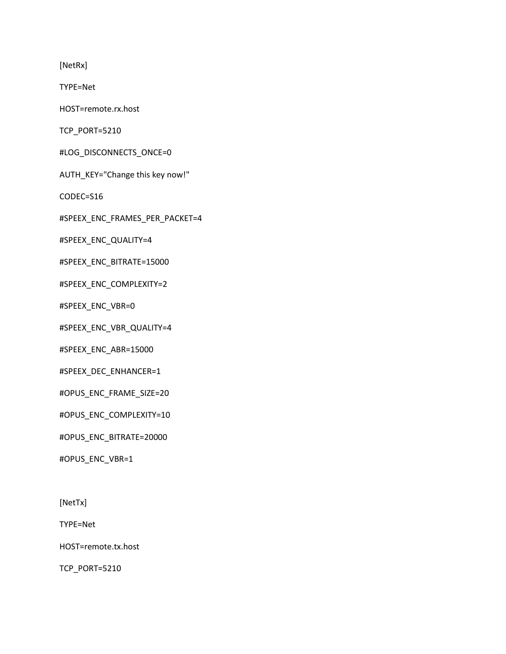[NetRx]

TYPE=Net

HOST=remote.rx.host

TCP\_PORT=5210

#LOG\_DISCONNECTS\_ONCE=0

AUTH\_KEY="Change this key now!"

CODEC=S16

#SPEEX\_ENC\_FRAMES\_PER\_PACKET=4

#SPEEX\_ENC\_QUALITY=4

#SPEEX\_ENC\_BITRATE=15000

#SPEEX\_ENC\_COMPLEXITY=2

#SPEEX\_ENC\_VBR=0

#SPEEX\_ENC\_VBR\_QUALITY=4

#SPEEX\_ENC\_ABR=15000

#SPEEX\_DEC\_ENHANCER=1

#OPUS\_ENC\_FRAME\_SIZE=20

#OPUS\_ENC\_COMPLEXITY=10

#OPUS\_ENC\_BITRATE=20000

#OPUS\_ENC\_VBR=1

[NetTx]

TYPE=Net

HOST=remote.tx.host

TCP\_PORT=5210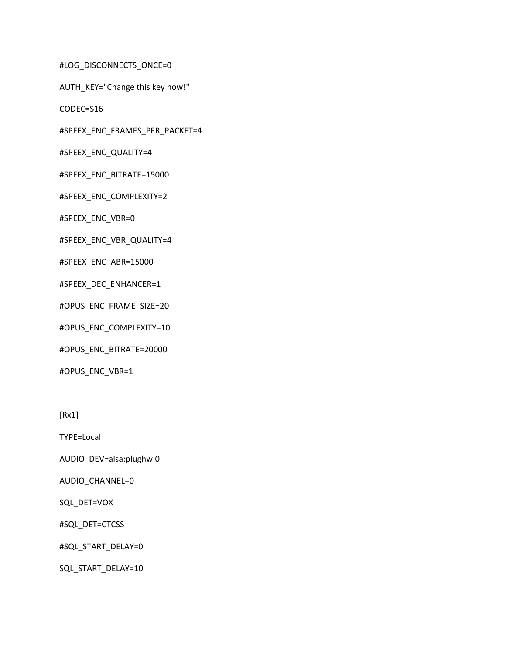#LOG\_DISCONNECTS\_ONCE=0

AUTH\_KEY="Change this key now!"

CODEC=S16

#SPEEX\_ENC\_FRAMES\_PER\_PACKET=4

#SPEEX\_ENC\_QUALITY=4

#SPEEX\_ENC\_BITRATE=15000

#SPEEX\_ENC\_COMPLEXITY=2

#SPEEX\_ENC\_VBR=0

#SPEEX\_ENC\_VBR\_QUALITY=4

#SPEEX\_ENC\_ABR=15000

#SPEEX\_DEC\_ENHANCER=1

#OPUS\_ENC\_FRAME\_SIZE=20

#OPUS\_ENC\_COMPLEXITY=10

#OPUS\_ENC\_BITRATE=20000

#OPUS\_ENC\_VBR=1

[Rx1]

TYPE=Local

AUDIO\_DEV=alsa:plughw:0

AUDIO\_CHANNEL=0

SQL\_DET=VOX

#SQL\_DET=CTCSS

#SQL\_START\_DELAY=0

SQL\_START\_DELAY=10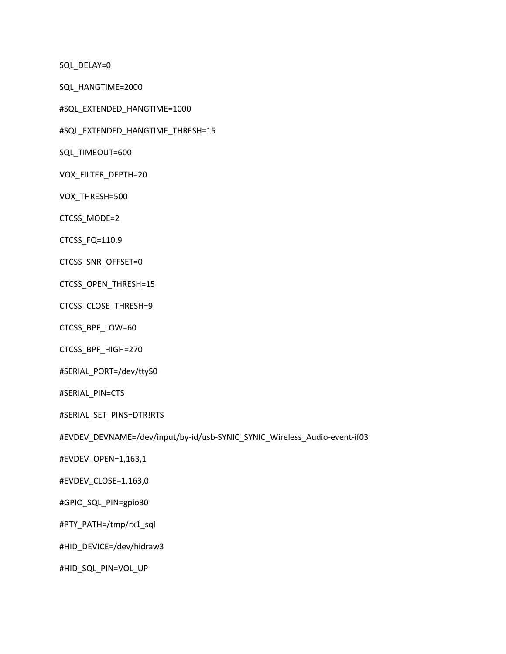SQL\_DELAY=0

SQL\_HANGTIME=2000

#SQL\_EXTENDED\_HANGTIME=1000

#SQL\_EXTENDED\_HANGTIME\_THRESH=15

SQL\_TIMEOUT=600

VOX\_FILTER\_DEPTH=20

VOX\_THRESH=500

CTCSS\_MODE=2

CTCSS\_FQ=110.9

CTCSS\_SNR\_OFFSET=0

CTCSS\_OPEN\_THRESH=15

CTCSS\_CLOSE\_THRESH=9

CTCSS\_BPF\_LOW=60

CTCSS\_BPF\_HIGH=270

#SERIAL\_PORT=/dev/ttyS0

#SERIAL\_PIN=CTS

#SERIAL\_SET\_PINS=DTR!RTS

#EVDEV\_DEVNAME=/dev/input/by-id/usb-SYNIC\_SYNIC\_Wireless\_Audio-event-if03

#EVDEV\_OPEN=1,163,1

#EVDEV\_CLOSE=1,163,0

#GPIO\_SQL\_PIN=gpio30

#PTY\_PATH=/tmp/rx1\_sql

#HID\_DEVICE=/dev/hidraw3

#HID\_SQL\_PIN=VOL\_UP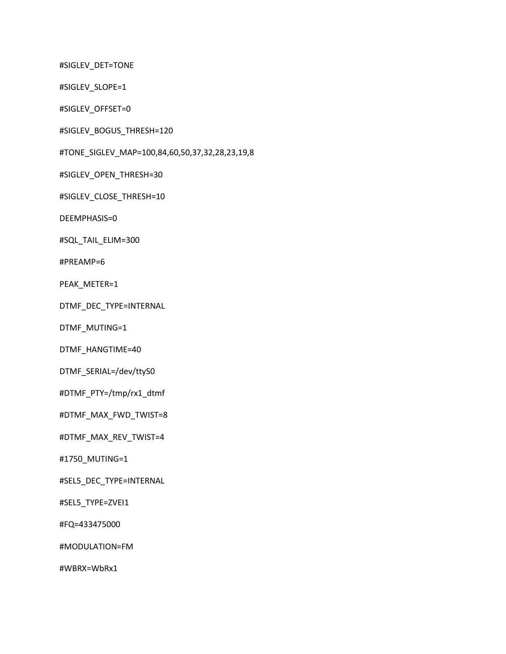#SIGLEV\_DET=TONE

#SIGLEV\_SLOPE=1

#SIGLEV\_OFFSET=0

#SIGLEV\_BOGUS\_THRESH=120

#TONE\_SIGLEV\_MAP=100,84,60,50,37,32,28,23,19,8

#SIGLEV\_OPEN\_THRESH=30

#SIGLEV\_CLOSE\_THRESH=10

DEEMPHASIS=0

#SQL\_TAIL\_ELIM=300

#PREAMP=6

PEAK\_METER=1

DTMF\_DEC\_TYPE=INTERNAL

DTMF\_MUTING=1

DTMF\_HANGTIME=40

DTMF\_SERIAL=/dev/ttyS0

#DTMF\_PTY=/tmp/rx1\_dtmf

#DTMF\_MAX\_FWD\_TWIST=8

#DTMF\_MAX\_REV\_TWIST=4

#1750\_MUTING=1

#SEL5\_DEC\_TYPE=INTERNAL

#SEL5\_TYPE=ZVEI1

#FQ=433475000

#MODULATION=FM

#WBRX=WbRx1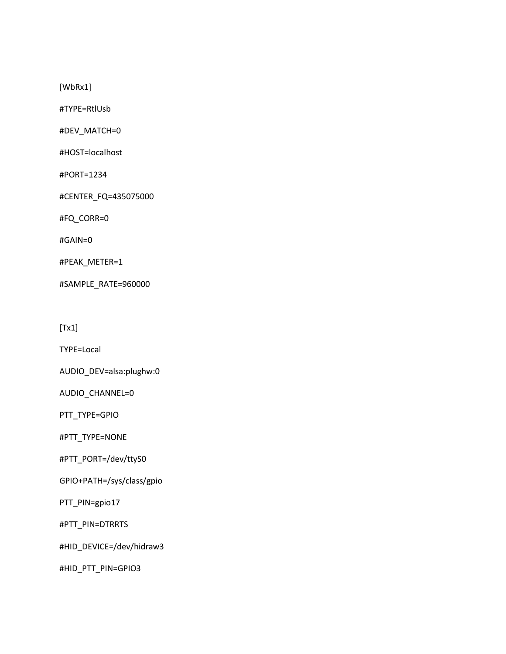[WbRx1]

#TYPE=RtlUsb

#DEV\_MATCH=0

#HOST=localhost

#PORT=1234

#CENTER\_FQ=435075000

#FQ\_CORR=0

#GAIN=0

#PEAK\_METER=1

#SAMPLE\_RATE=960000

[Tx1]

TYPE=Local

AUDIO\_DEV=alsa:plughw:0

AUDIO\_CHANNEL=0

PTT\_TYPE=GPIO

#PTT\_TYPE=NONE

#PTT\_PORT=/dev/ttyS0

GPIO+PATH=/sys/class/gpio

PTT\_PIN=gpio17

#PTT\_PIN=DTRRTS

#HID\_DEVICE=/dev/hidraw3

#HID\_PTT\_PIN=GPIO3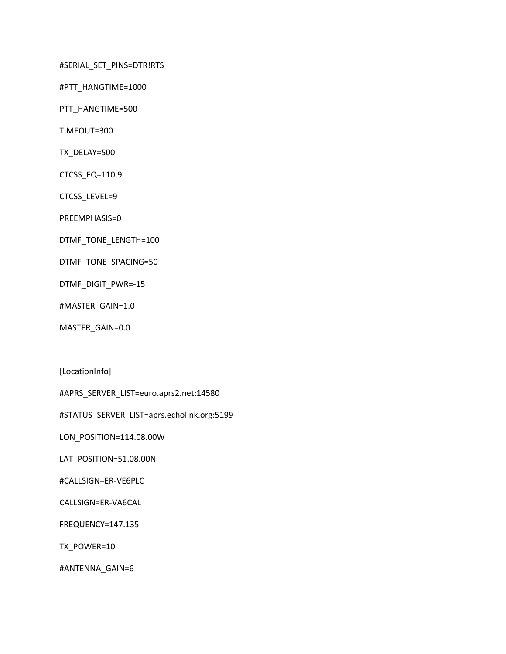#SERIAL\_SET\_PINS=DTR!RTS

#PTT\_HANGTIME=1000

PTT\_HANGTIME=500

TIMEOUT=300

TX\_DELAY=500

CTCSS\_FQ=110.9

CTCSS\_LEVEL=9

PREEMPHASIS=0

- DTMF\_TONE\_LENGTH=100
- DTMF\_TONE\_SPACING=50

DTMF\_DIGIT\_PWR=-15

#MASTER\_GAIN=1.0

MASTER\_GAIN=0.0

[LocationInfo]

#APRS\_SERVER\_LIST=euro.aprs2.net:14580

#STATUS\_SERVER\_LIST=aprs.echolink.org:5199

LON\_POSITION=114.08.00W

LAT\_POSITION=51.08.00N

#CALLSIGN=ER-VE6PLC

CALLSIGN=ER-VA6CAL

FREQUENCY=147.135

TX\_POWER=10

#ANTENNA\_GAIN=6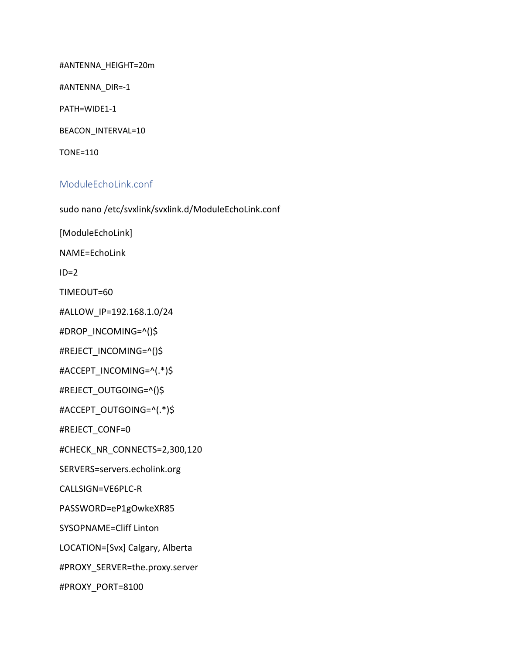#ANTENNA\_HEIGHT=20m

#ANTENNA\_DIR=-1

PATH=WIDE1-1

BEACON\_INTERVAL=10

TONE=110

## ModuleEchoLink.conf

sudo nano /etc/svxlink/svxlink.d/ModuleEchoLink.conf

[ModuleEchoLink]

NAME=EchoLink

 $ID=2$ 

TIMEOUT=60

#ALLOW\_IP=192.168.1.0/24

#DROP\_INCOMING=^()\$

#REJECT\_INCOMING=^()\$

#ACCEPT\_INCOMING=^(.\*)\$

#REJECT\_OUTGOING=^()\$

#ACCEPT\_OUTGOING=^(.\*)\$

#REJECT\_CONF=0

#CHECK\_NR\_CONNECTS=2,300,120

SERVERS=servers.echolink.org

CALLSIGN=VE6PLC-R

PASSWORD=eP1gOwkeXR85

SYSOPNAME=Cliff Linton

LOCATION=[Svx] Calgary, Alberta

#PROXY\_SERVER=the.proxy.server

#PROXY\_PORT=8100